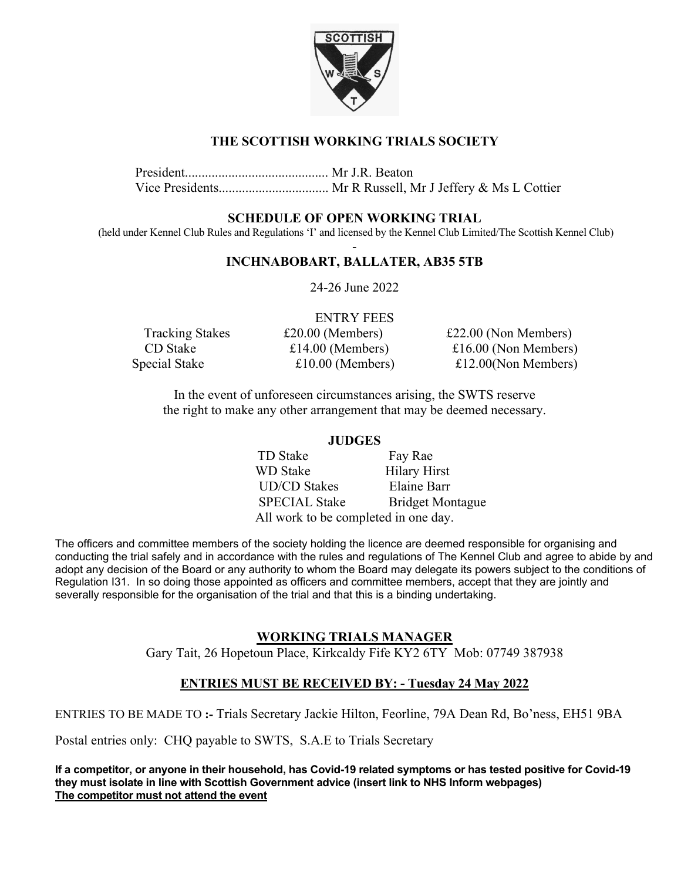

# **THE SCOTTISH WORKING TRIALS SOCIETY**

President........................................... Mr J.R. Beaton Vice Presidents................................. Mr R Russell, Mr J Jeffery & Ms L Cottier

## **SCHEDULE OF OPEN WORKING TRIAL**

 (held under Kennel Club Rules and Regulations 'I' and licensed by the Kennel Club Limited/The Scottish Kennel Club) -

## **INCHNABOBART, BALLATER, AB35 5TB**

24-26 June 2022

|                        | <b>ENTRY FEES</b>  |                        |
|------------------------|--------------------|------------------------|
| <b>Tracking Stakes</b> | $£20.00$ (Members) | $£22.00$ (Non Members) |
| CD Stake               | £14.00 (Members)   | £16.00 (Non Members)   |
| Special Stake          | $£10.00$ (Members) | £12.00(Non Members)    |

In the event of unforeseen circumstances arising, the SWTS reserve the right to make any other arrangement that may be deemed necessary.

#### **JUDGES**

TD Stake Fay Rae WD Stake Hilary Hirst UD/CD Stakes Elaine Barr SPECIAL Stake Bridget Montague All work to be completed in one day.

The officers and committee members of the society holding the licence are deemed responsible for organising and conducting the trial safely and in accordance with the rules and regulations of The Kennel Club and agree to abide by and adopt any decision of the Board or any authority to whom the Board may delegate its powers subject to the conditions of Regulation I31. In so doing those appointed as officers and committee members, accept that they are jointly and severally responsible for the organisation of the trial and that this is a binding undertaking.

## **WORKING TRIALS MANAGER**

Gary Tait, 26 Hopetoun Place, Kirkcaldy Fife KY2 6TY Mob: 07749 387938

# **ENTRIES MUST BE RECEIVED BY: - Tuesday 24 May 2022**

ENTRIES TO BE MADE TO **:-** Trials Secretary Jackie Hilton, Feorline, 79A Dean Rd, Bo'ness, EH51 9BA

Postal entries only: CHQ payable to SWTS, S.A.E to Trials Secretary

**If a competitor, or anyone in their household, has Covid-19 related symptoms or has tested positive for Covid-19 they must isolate in line with Scottish Government advice (insert link to NHS Inform webpages) The competitor must not attend the event**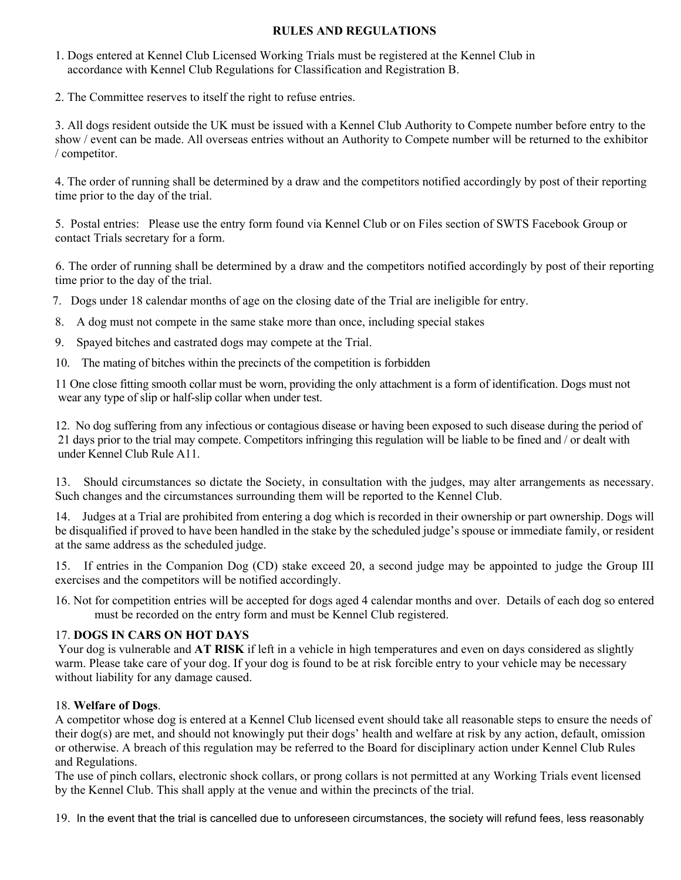## **RULES AND REGULATIONS**

- 1. Dogs entered at Kennel Club Licensed Working Trials must be registered at the Kennel Club in accordance with Kennel Club Regulations for Classification and Registration B.
- 2. The Committee reserves to itself the right to refuse entries.

3. All dogs resident outside the UK must be issued with a Kennel Club Authority to Compete number before entry to the show / event can be made. All overseas entries without an Authority to Compete number will be returned to the exhibitor / competitor.

4. The order of running shall be determined by a draw and the competitors notified accordingly by post of their reporting time prior to the day of the trial.

5. Postal entries: Please use the entry form found via Kennel Club or on Files section of SWTS Facebook Group or contact Trials secretary for a form.

 6. The order of running shall be determined by a draw and the competitors notified accordingly by post of their reporting time prior to the day of the trial.

7. Dogs under 18 calendar months of age on the closing date of the Trial are ineligible for entry.

- 8. A dog must not compete in the same stake more than once, including special stakes
- 9. Spayed bitches and castrated dogs may compete at the Trial.
- 10. The mating of bitches within the precincts of the competition is forbidden

11 One close fitting smooth collar must be worn, providing the only attachment is a form of identification. Dogs must not wear any type of slip or half-slip collar when under test.

12. No dog suffering from any infectious or contagious disease or having been exposed to such disease during the period of 21 days prior to the trial may compete. Competitors infringing this regulation will be liable to be fined and / or dealt with under Kennel Club Rule A11.

13. Should circumstances so dictate the Society, in consultation with the judges, may alter arrangements as necessary. Such changes and the circumstances surrounding them will be reported to the Kennel Club.

14. Judges at a Trial are prohibited from entering a dog which is recorded in their ownership or part ownership. Dogs will be disqualified if proved to have been handled in the stake by the scheduled judge's spouse or immediate family, or resident at the same address as the scheduled judge.

15. If entries in the Companion Dog (CD) stake exceed 20, a second judge may be appointed to judge the Group III exercises and the competitors will be notified accordingly.

16. Not for competition entries will be accepted for dogs aged 4 calendar months and over. Details of each dog so entered must be recorded on the entry form and must be Kennel Club registered.

## 17. **DOGS IN CARS ON HOT DAYS**

 Your dog is vulnerable and **AT RISK** if left in a vehicle in high temperatures and even on days considered as slightly warm. Please take care of your dog. If your dog is found to be at risk forcible entry to your vehicle may be necessary without liability for any damage caused.

#### 18. **Welfare of Dogs**.

A competitor whose dog is entered at a Kennel Club licensed event should take all reasonable steps to ensure the needs of their dog(s) are met, and should not knowingly put their dogs' health and welfare at risk by any action, default, omission or otherwise. A breach of this regulation may be referred to the Board for disciplinary action under Kennel Club Rules and Regulations.

The use of pinch collars, electronic shock collars, or prong collars is not permitted at any Working Trials event licensed by the Kennel Club. This shall apply at the venue and within the precincts of the trial.

19. In the event that the trial is cancelled due to unforeseen circumstances, the society will refund fees, less reasonably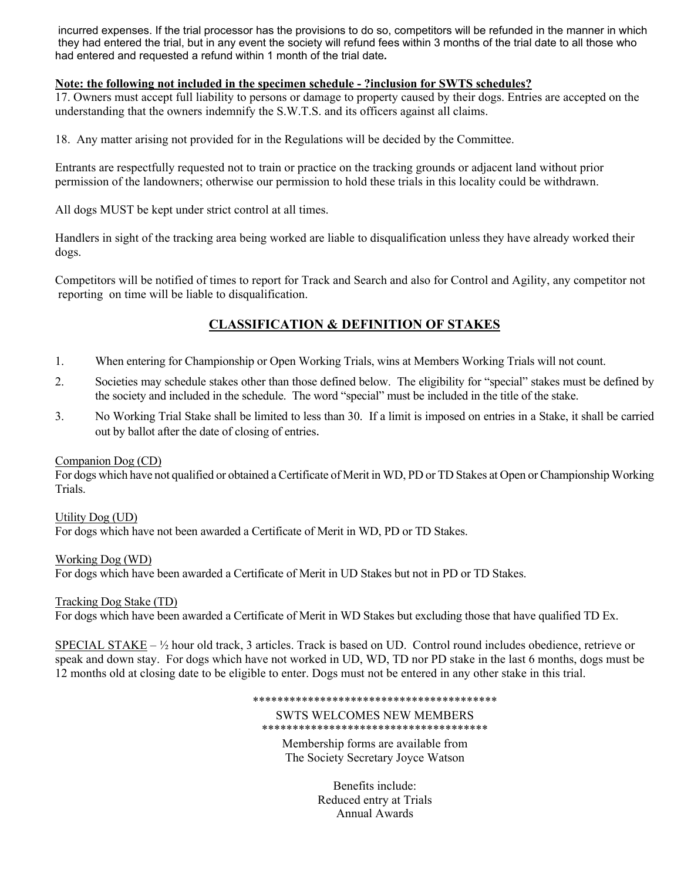incurred expenses. If the trial processor has the provisions to do so, competitors will be refunded in the manner in which they had entered the trial, but in any event the society will refund fees within 3 months of the trial date to all those who had entered and requested a refund within 1 month of the trial date*.*

#### **Note: the following not included in the specimen schedule - ?inclusion for SWTS schedules?**

17. Owners must accept full liability to persons or damage to property caused by their dogs. Entries are accepted on the understanding that the owners indemnify the S.W.T.S. and its officers against all claims.

18. Any matter arising not provided for in the Regulations will be decided by the Committee.

Entrants are respectfully requested not to train or practice on the tracking grounds or adjacent land without prior permission of the landowners; otherwise our permission to hold these trials in this locality could be withdrawn.

All dogs MUST be kept under strict control at all times.

Handlers in sight of the tracking area being worked are liable to disqualification unless they have already worked their dogs.

Competitors will be notified of times to report for Track and Search and also for Control and Agility, any competitor not reporting on time will be liable to disqualification.

# **CLASSIFICATION & DEFINITION OF STAKES**

- 1. When entering for Championship or Open Working Trials, wins at Members Working Trials will not count.
- 2. Societies may schedule stakes other than those defined below. The eligibility for "special" stakes must be defined by the society and included in the schedule. The word "special" must be included in the title of the stake.
- 3. No Working Trial Stake shall be limited to less than 30. If a limit is imposed on entries in a Stake, it shall be carried out by ballot after the date of closing of entries.

#### Companion Dog (CD)

For dogs which have not qualified or obtained a Certificate of Merit in WD, PD or TD Stakes at Open or Championship Working Trials.

Utility Dog (UD) For dogs which have not been awarded a Certificate of Merit in WD, PD or TD Stakes.

Working Dog (WD)

For dogs which have been awarded a Certificate of Merit in UD Stakes but not in PD or TD Stakes.

#### Tracking Dog Stake (TD)

For dogs which have been awarded a Certificate of Merit in WD Stakes but excluding those that have qualified TD Ex.

SPECIAL STAKE – ½ hour old track, 3 articles. Track is based on UD. Control round includes obedience, retrieve or speak and down stay. For dogs which have not worked in UD, WD, TD nor PD stake in the last 6 months, dogs must be 12 months old at closing date to be eligible to enter. Dogs must not be entered in any other stake in this trial.

> \*\*\*\*\*\*\*\*\*\*\*\*\*\*\*\*\*\*\*\*\*\*\*\*\*\*\*\*\*\*\*\*\*\*\*\*\*\*\*\* SWTS WELCOMES NEW MEMBERS \*\*\*\*\*\*\*\*\*\*\*\*\*\*\*\*\*\*\*\*\*\*\*\*\*\*\*\*\*\*\*\*\*\*\*\*\*

> > Membership forms are available from The Society Secretary Joyce Watson

> > > Benefits include: Reduced entry at Trials Annual Awards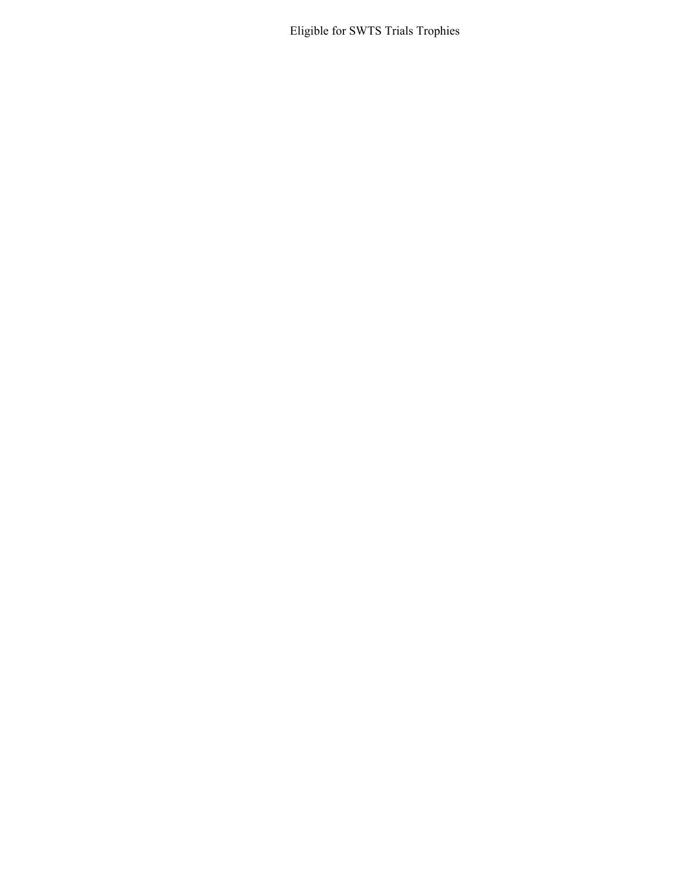Eligible for SWTS Trials Trophies